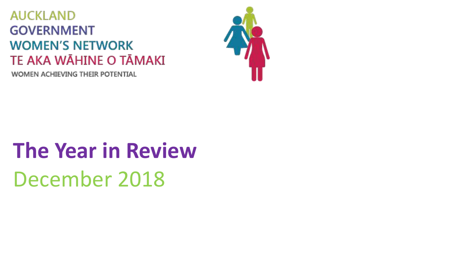### **AUCKLAND GOVERNMENT WOMEN'S NETWORK** TE AKA WĀHINE O TĀMAKI

WOMEN ACHIEVING THEIR POTENTIAL



# **The Year in Review**  December 2018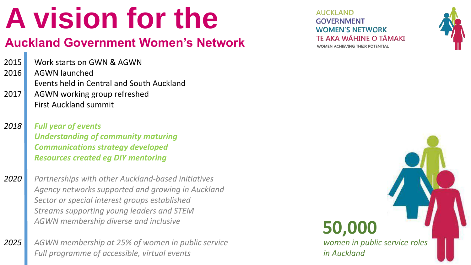# **A vision for the**

#### **Auckland Government Women's Network**

2015 Work starts on GWN & AGWN

2016 2017 AGWN launched Events held in Central and South Auckland AGWN working group refreshed

- First Auckland summit
- *2018 Full year of events Understanding of community maturing Communications strategy developed Resources created eg DIY mentoring*

*2020 Partnerships with other Auckland-based initiatives Agency networks supported and growing in Auckland Sector or special interest groups established Streams supporting young leaders and STEM AGWN membership diverse and inclusive* 

*2025 AGWN membership at 25% of women in public service Full programme of accessible, virtual events* 

**AUCKLAND GOVERNMENT WOMEN'S NETWORK** TF AKA WĀHINF O TĀMAKĪ WOMEN ACHIEVING THEIR POTENTIAL



### **50,000**

*women in public service roles in Auckland*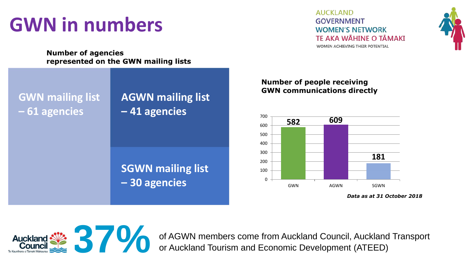### **GWN in numbers**

**Number of agencies** represented on the GWN mailing lists

**GWN mailing list – 61 agencies**

#### **AGWN mailing list – 41 agencies**

**SGWN mailing list – 30 agencies**

**AUCKLAND GOVERNMENT WOMEN'S NETWORK** TF AKA WĀHINF O TĀMAKĪ WOMEN ACHIEVING THEIR POTENTIAL



#### **Number of people receiving GWN communications directly**



*Data as at 31 October 2018*



of AGWN members come from Auckland Council, Auckland Transport or Auckland Tourism and Economic Development (ATEED) or Auckland Tourism and Economic Development (ATEED)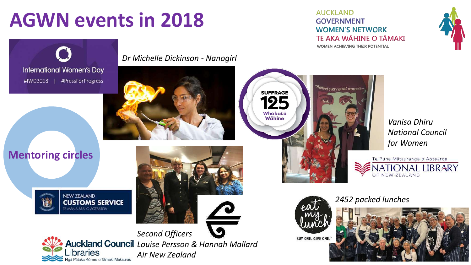### **AGWN events in 2018**

**AUCKLAND GOVERNMENT WOMEN'S NETWORK** TE AKA WĀHINE O TĀMAKI WOMEN ACHIEVING THEIR POTENTIAL

"Behind every great woman...





*Dr Michelle Dickinson - Nanogirl*



#### **Mentoring circles**





*Vanisa Dhiru National Council for Women* 

NATIONAL LIBRARY

Te Puna Mātauranga o Aotearoa



**SUFFRAGE** 

Whakatū<br>Wāhine

BUY ONE. GIVE ONE."

*2452 packed lunches*



OF NEW ZEALAND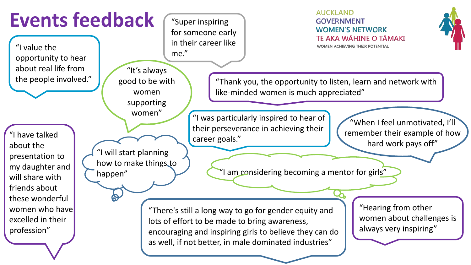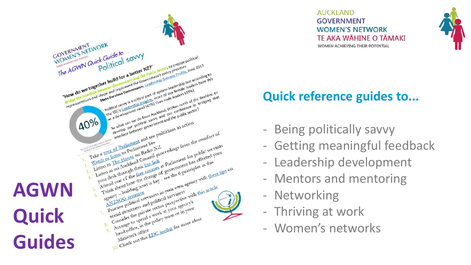

**AUCKLAND GOVERNMENT WOMEN'S NETWORK TE AKA WÄHINE O TÄMAKI** WOMEN ACHIEVING THEIR POTENTIAL



### **Quick reference guides to...**

- 
- Being politically savvy Getting meaningful feedback
- Leadership development
- Mentors and mentoring Networking
- 
- Thriving at work
- Women's networks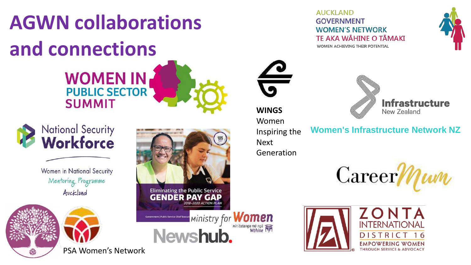# **AGWN collaborations and connections WOMEN IN<br>PUBLIC SECTOR**



Women in National Security Mentoring Programme Auckland

**SUMMIT** 





#### **WINGS**

Women Inspiring the Next Generation

**Women's Infrastructure Network NZ**

New Zealand

**Infrastructure** 

16





**AUCKLAND** 

**GOVERNMENT** 

**WOMEN'S NETWORK** 

WOMEN ACHIEVING THEIR POTENTIAL

**TF AKA WÄHINF O TĀMAKĪ** 





PSA Women's Network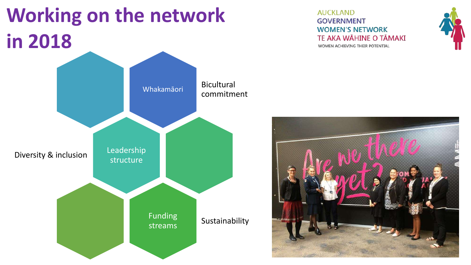## **Working on the network in 2018**



#### **AUCKLAND GOVERNMENT WOMEN'S NETWORK** TE AKA WĀHINE O TĀMAKI WOMEN ACHIEVING THEIR POTENTIAL